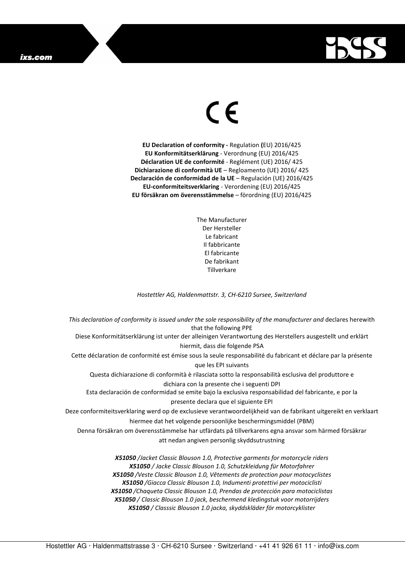## ixs.com



## $\in$

**EU Declaration of conformity -** Regulation **(**EU) 2016/425 **EU Konformitätserklärung** - Verordnung (EU) 2016/425 **Déclaration UE de conformité** - Reglément (UE) 2016/ 425 **Dichiarazione di conformità UE** – Regloamento (UE) 2016/ 425 **Declaración de conformidad de la UE** – Regulación (UE) 2016/425 **EU-conformiteitsverklaring** - Verordening (EU) 2016/425 **EU försäkran om överensstämmelse** – förordning (EU) 2016/425

> The Manufacturer Der Hersteller Le fabricant Il fabbricante El fabricante De fabrikant **Tillverkare**

*Hostettler AG, Haldenmattstr. 3, CH-6210 Sursee, Switzerland* 

*This declaration of conformity is issued under the sole responsibility of the manufacturer and* declares herewith that the following PPE Diese Konformitätserklärung ist unter der alleinigen Verantwortung des Herstellers ausgestellt und erklärt hiermit, dass die folgende PSA Cette déclaration de conformité est émise sous la seule responsabilité du fabricant et déclare par la présente que les EPI suivants Questa dichiarazione di conformità è rilasciata sotto la responsabilità esclusiva del produttore e dichiara con la presente che i seguenti DPI Esta declaración de conformidad se emite bajo la exclusiva responsabilidad del fabricante, e por la presente declara que el siguiente EPI Deze conformiteitsverklaring werd op de exclusieve verantwoordelijkheid van de fabrikant uitgereikt en verklaart hiermee dat het volgende persoonlijke beschermingsmiddel (PBM) Denna försäkran om överensstämmelse har utfärdats på tillverkarens egna ansvar som härmed försäkrar att nedan angiven personlig skyddsutrustning *X51050 /Jacket Classic Blouson 1.0, Protective garments for motorcycle riders X51050 / Jacke Classic Blouson 1.0, Schutzkleidung für Motorfahrer X51050 /Veste Classic Blouson 1.0, Vêtements de protection pour motocyclistes X51050 /Giacca Classic Blouson 1.0, Indumenti protettivi per motociclisti X51050 /Chaqueta Classic Blouson 1.0, Prendas de protección para motociclistas* 

*X51050 / Classic Blouson 1.0 jack, beschermend kledingstuk voor motorrijders* 

*X51050 / Classsic Blouson 1.0 jacka, skyddskläder för motorcyklister*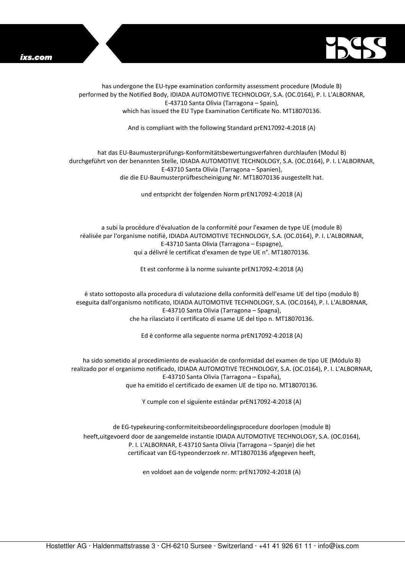



has undergone the EU-type examination conformity assessment procedure (Module B) performed by the Notified Body, IDIADA AUTOMOTIVE TECHNOLOGY, S.A. (OC.0164), P. I. L'ALBORNAR, E-43710 Santa Olivia (Tarragona – Spain), which has issued the EU Type Examination Certificate No. MT18070136.

And is compliant with the following Standard prEN17092-4:2018 (A)

## hat das EU-Baumusterprüfungs-Konformitätsbewertungsverfahren durchlaufen (Modul B) durchgeführt von der benannten Stelle, IDIADA AUTOMOTIVE TECHNOLOGY, S.A. (OC.0164), P. I. L'ALBORNAR, E-43710 Santa Olivia (Tarragona – Spanien), die die EU-Baumusterprüfbescheinigung Nr. MT18070136 ausgestellt hat.

und entspricht der folgenden Norm prEN17092-4:2018 (A)

a subi la procédure d'évaluation de la conformité pour l'examen de type UE (module B) réalisée par l'organisme notifié, IDIADA AUTOMOTIVE TECHNOLOGY, S.A. (OC.0164), P. I. L'ALBORNAR, E-43710 Santa Olivia (Tarragona – Espagne), qui a délivré le certificat d'examen de type UE n°. MT18070136.

Et est conforme à la norme suivante prEN17092-4:2018 (A)

è stato sottoposto alla procedura di valutazione della conformità dell'esame UE del tipo (modulo B) eseguita dall'organismo notificato, IDIADA AUTOMOTIVE TECHNOLOGY, S.A. (OC.0164), P. I. L'ALBORNAR, E-43710 Santa Olivia (Tarragona – Spagna), che ha rilasciato il certificato di esame UE del tipo n. MT18070136.

Ed è conforme alla seguente norma prEN17092-4:2018 (A)

ha sido sometido al procedimiento de evaluación de conformidad del examen de tipo UE (Módulo B) realizado por el organismo notificado, IDIADA AUTOMOTIVE TECHNOLOGY, S.A. (OC.0164), P. I. L'ALBORNAR, E-43710 Santa Olivia (Tarragona – España), que ha emitido el certificado de examen UE de tipo no. MT18070136.

Y cumple con el siguiente estándar prEN17092-4:2018 (A)

de EG-typekeuring-conformiteitsbeoordelingsprocedure doorlopen (module B) heeft,uitgevoerd door de aangemelde instantie IDIADA AUTOMOTIVE TECHNOLOGY, S.A. (OC.0164), P. I. L'ALBORNAR, E-43710 Santa Olivia (Tarragona – Spanje) die het certificaat van EG-typeonderzoek nr. MT18070136 afgegeven heeft,

en voldoet aan de volgende norm: prEN17092-4:2018 (A)